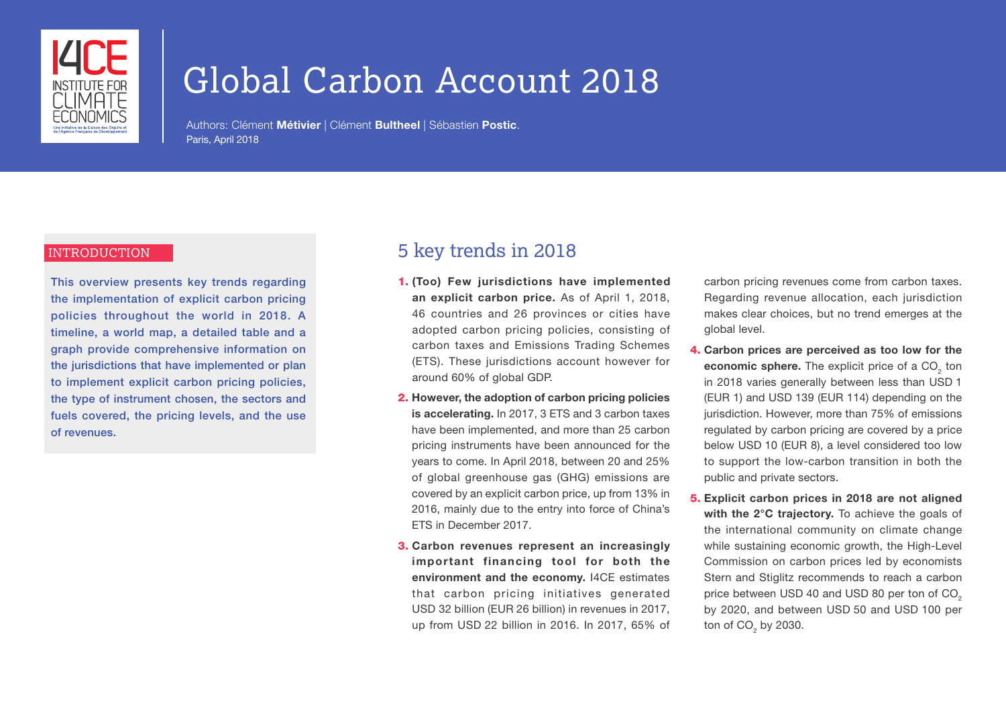

# Global Carbon Account 2018

Authors: Clément Métivier | Clément Bultheel | Sébastien Postic. Paris, April 2018

#### INTRODUCTION

This overview presents key trends regarding the implementation of explicit carbon pricing policies throughout the world in 2018. A timeline, a world map, a detailed table and a graph provide comprehensive information on the jurisdictions that have implemented or plan to implement explicit carbon pricing policies, the type of instrument chosen, the sectors and fuels covered, the pricing levels, and the use of revenues.

### 5 key trends in 2018

- 1. (Too) Few jurisdictions have implemented an explicit carbon price. As of April 1, 2018, 46 countries and 26 provinces or cities have adopted carbon pricing policies, consisting of carbon taxes and Emissions Trading Schemes (ETS). These jurisdictions account however for around 60% of global GDP.
- 2. However, the adoption of carbon pricing policies is accelerating. In 2017, 3 ETS and 3 carbon taxes have been implemented, and more than 25 carbon pricing instruments have been announced for the years to come. In April 2018, between 20 and 25% of global greenhouse gas (GHG) emissions are covered by an explicit carbon price, up from 13% in 2016, mainly due to the entry into force of China's ETS in December 2017.
- 3. Carbon revenues represent an increasingly important financing tool for both the environment and the economy. I4CE estimates that carbon pricing initiatives generated USD 32 billion (EUR 26 billion) in revenues in 2017, up from USD 22 billion in 2016. In 2017, 65% of

carbon pricing revenues come from carbon taxes. Regarding revenue allocation, each jurisdiction makes clear choices, but no trend emerges at the global level.

- 4. Carbon prices are perceived as too low for the economic sphere. The explicit price of a  $\mathrm{CO}_2^+$  ton in 2018 varies generally between less than USD 1 (EUR 1) and USD 139 (EUR 114) depending on the jurisdiction. However, more than 75% of emissions regulated by carbon pricing are covered by a price below USD 10 (EUR 8), a level considered too low to support the low-carbon transition in both the public and private sectors.
- 5. Explicit carbon prices in 2018 are not aligned with the 2°C trajectory. To achieve the goals of the international community on climate change while sustaining economic growth, the High-Level Commission on carbon prices led by economists Stern and Stiglitz recommends to reach a carbon price between USD 40 and USD 80 per ton of CO<sub>2</sub> by 2020, and between USD 50 and USD 100 per ton of CO $_{2}$  by 2030.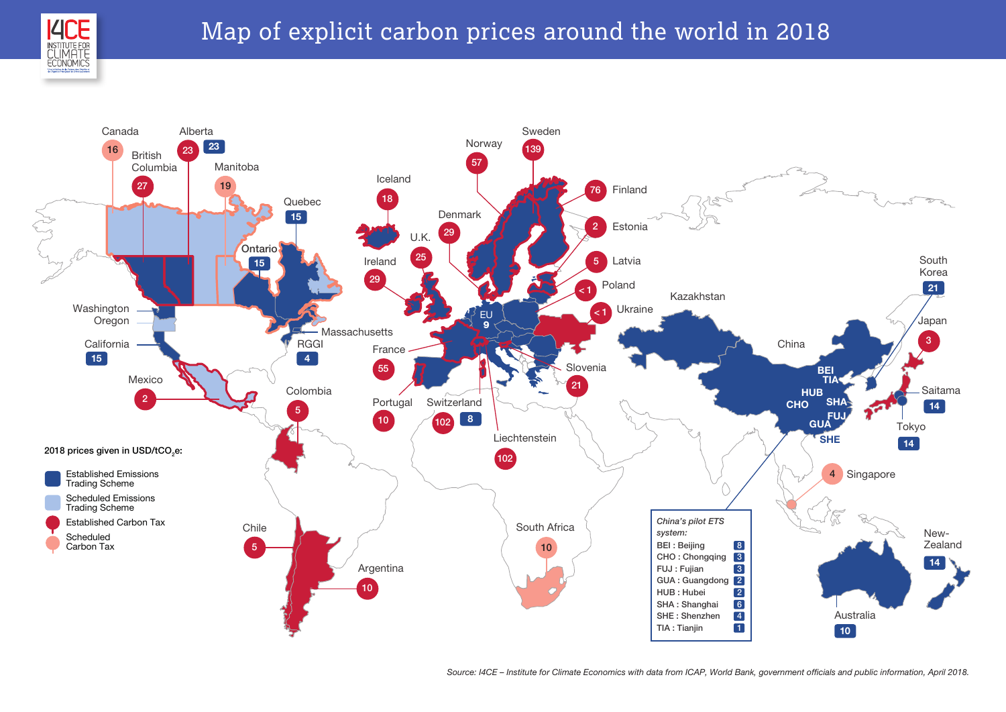

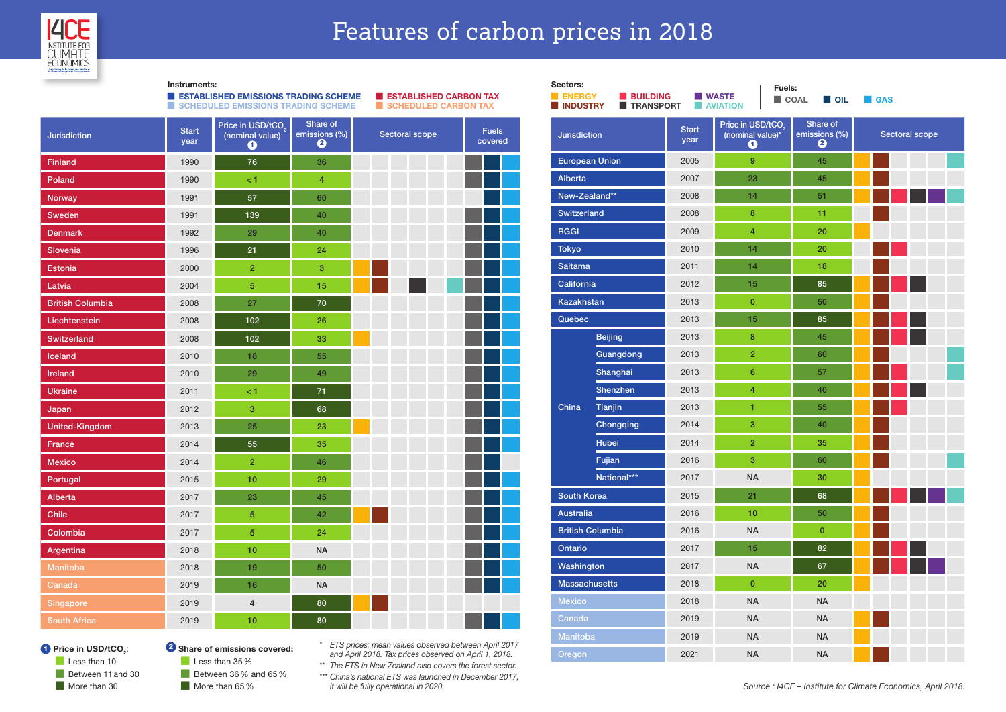

Instruments:

## Features of carbon prices in 2018

|                         | a a                  | <b>ESTABLISHED EMISSIONS TRADING SCHEME</b><br><b>SCHEDULED EMISSIONS TRADING SCHEME</b> | m.                             | <b>ESTABLISHED CARBON TAX</b><br><b>SCHEDULED CARBON TAX</b> |                         |  |
|-------------------------|----------------------|------------------------------------------------------------------------------------------|--------------------------------|--------------------------------------------------------------|-------------------------|--|
| <b>Jurisdiction</b>     | <b>Start</b><br>year | Price in USD/tCO <sub>2</sub><br>(nominal value)<br>$\bf o$                              | Share of<br>emissions (%)<br>❷ | Sectoral scope                                               | <b>Fuels</b><br>covered |  |
| Finland                 | 1990                 | 76                                                                                       | 36                             |                                                              |                         |  |
| Poland                  | 1990                 | $\leq 1$                                                                                 | 4                              |                                                              |                         |  |
| <b>Norway</b>           | 1991                 | 57                                                                                       | 60                             |                                                              |                         |  |
| Sweden                  | 1991                 | 139                                                                                      | 40                             |                                                              |                         |  |
| <b>Denmark</b>          | 1992                 | 29                                                                                       | 40                             |                                                              |                         |  |
| <b>Slovenia</b>         | 1996                 | 21                                                                                       | 24                             |                                                              |                         |  |
| <b>Estonia</b>          | 2000                 | $\overline{2}$                                                                           | 3                              |                                                              |                         |  |
| Latvia                  | 2004                 | 5                                                                                        | 15                             |                                                              |                         |  |
| <b>British Columbia</b> | 2008                 | 27                                                                                       | 70                             |                                                              |                         |  |
| Liechtenstein           | 2008                 | 102                                                                                      | 26                             |                                                              |                         |  |
| Switzerland             | 2008                 | 102                                                                                      | 33                             |                                                              |                         |  |
| Iceland                 | 2010                 | 18                                                                                       | 55                             |                                                              |                         |  |
| <b>Ireland</b>          | 2010                 | 29                                                                                       | 49                             |                                                              |                         |  |
| <b>Ukraine</b>          | 2011                 | $\leq 1$                                                                                 | 71                             |                                                              |                         |  |
| Japan                   | 2012                 | 3                                                                                        | 68                             |                                                              |                         |  |
| <b>United-Kingdom</b>   | 2013                 | 25                                                                                       | 23                             |                                                              |                         |  |
| <b>France</b>           | 2014                 | 55                                                                                       | 35                             |                                                              |                         |  |
| <b>Mexico</b>           | 2014                 | $\overline{2}$                                                                           | 46                             |                                                              |                         |  |
| Portugal                | 2015                 | 10                                                                                       | 29                             |                                                              |                         |  |
| <b>Alberta</b>          | 2017                 | 23                                                                                       | 45                             |                                                              |                         |  |
| <b>Chile</b>            | 2017                 | 5                                                                                        | 42                             |                                                              |                         |  |
| Colombia                | 2017                 | $\overline{5}$                                                                           | 24                             |                                                              |                         |  |
| Argentina               | 2018                 | 10                                                                                       | <b>NA</b>                      |                                                              |                         |  |
| Manitoba                | 2018                 | 19                                                                                       | 50                             |                                                              |                         |  |
| <b>Canada</b>           | 2019                 | 16                                                                                       | <b>NA</b>                      |                                                              |                         |  |
| Singapore               | 2019                 | $\overline{4}$                                                                           | 80                             |                                                              |                         |  |
| <b>South Africa</b>     | 2019                 | 10                                                                                       | 80                             |                                                              |                         |  |

| Sectors:<br>Fuels:        |                              |                                                                                |                               |                                |                       |  |
|---------------------------|------------------------------|--------------------------------------------------------------------------------|-------------------------------|--------------------------------|-----------------------|--|
| <b>ENERGY</b><br>INDUSTRY | <b>BUILDING</b><br>TRANSPORT |                                                                                | <b>WASTE</b><br><b>NUMBER</b> | <b>COAL</b><br><b>OIL</b>      | <b>GAS</b>            |  |
| <b>Jurisdiction</b>       |                              | Price in USD/tCO <sub>2</sub><br><b>Start</b><br>(nominal value)*<br>year<br>Q |                               | Share of<br>emissions (%)<br>0 | <b>Sectoral scope</b> |  |
| <b>European Union</b>     |                              | 2005                                                                           | 9                             | 45                             |                       |  |
| <b>Alberta</b>            |                              | 2007                                                                           | 23                            | 45                             |                       |  |
| New-Zealand**             |                              | 2008                                                                           | 14                            | 51                             |                       |  |
| <b>Switzerland</b>        |                              | 2008                                                                           | 8                             | 11                             |                       |  |
| <b>RGGI</b>               |                              | 2009                                                                           | $\overline{4}$                | 20                             |                       |  |
| <b>Tokyo</b>              |                              | 2010                                                                           | 14                            | 20                             |                       |  |
| <b>Saitama</b>            |                              | 2011                                                                           | 14                            | 18                             |                       |  |
| California                |                              | 2012                                                                           | 15                            | 85                             |                       |  |
| <b>Kazakhstan</b>         |                              | 2013                                                                           | $\mathbf 0$                   | 50                             |                       |  |
| Quebec                    |                              | 2013                                                                           | 15                            | 85                             |                       |  |
|                           | <b>Beijing</b>               | 2013                                                                           | 8                             | 45                             |                       |  |
|                           | Guangdong                    | 2013                                                                           | $\overline{2}$                | 60                             |                       |  |
|                           | Shanghai                     | 2013                                                                           | 6                             | 57                             |                       |  |
|                           | Shenzhen                     | 2013                                                                           | $\overline{4}$                | 40                             |                       |  |
| China                     | Tianjin                      | 2013                                                                           | 1                             | 55                             |                       |  |
|                           | Chongqing                    | 2014                                                                           | 3                             | 40                             |                       |  |
|                           | <b>Hubei</b>                 | 2014                                                                           | $\overline{2}$                | 35                             |                       |  |
|                           | Fujian                       | 2016                                                                           | 3                             | 60                             |                       |  |
|                           | National***                  | 2017                                                                           | <b>NA</b>                     | 30                             |                       |  |
| <b>South Korea</b>        |                              | 2015                                                                           | 21                            | 68                             |                       |  |
| <b>Australia</b>          |                              | 2016                                                                           | 10                            | 50                             |                       |  |
| <b>British Columbia</b>   |                              | 2016                                                                           | <b>NA</b>                     | $\mathbf{0}$                   |                       |  |
| Ontario                   |                              | 2017                                                                           | 15                            | 82                             |                       |  |
| Washington                |                              | 2017                                                                           | <b>NA</b>                     | 67                             |                       |  |
| <b>Massachusetts</b>      |                              | 2018                                                                           | $\mathbf{0}$                  | 20                             |                       |  |
| <b>Mexico</b>             |                              | 2018                                                                           | <b>NA</b>                     | <b>NA</b>                      |                       |  |
| Canada                    |                              | 2019                                                                           | <b>NA</b>                     | <b>NA</b>                      |                       |  |
| Manitoba                  |                              | 2019                                                                           | <b>NA</b>                     | <b>NA</b>                      |                       |  |
| Oregon                    |                              | 2021                                                                           | <b>NA</b>                     | <b>NA</b>                      |                       |  |

#### **Price in USD/tCO<sub>2</sub>:**

 $\Box$  Less than 10 Between 11 and 30 More than 30

<sup>2</sup> Share of emissions covered: Less than 35% Between 36% and 65% More than 65%

*\* ETS prices: mean values observed between April 2017 and April 2018. Tax prices observed on April 1, 2018.*

*\*\* The ETS in New Zealand also covers the forest sector. \*\*\* China's national ETS was launched in December 2017,* 

*it will be fully operational in 2020.*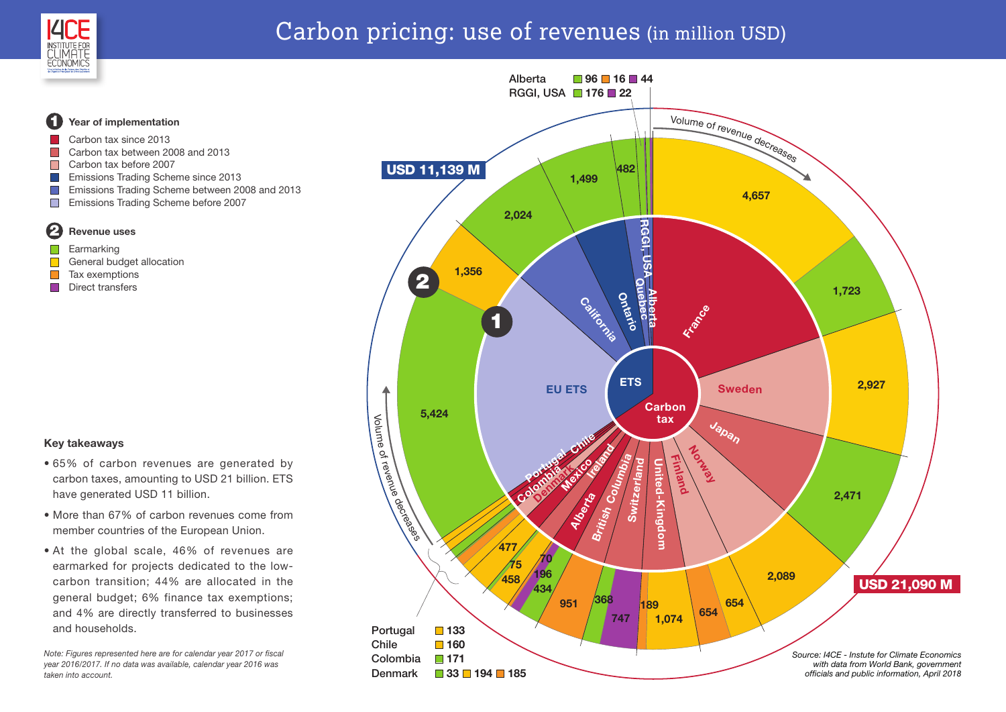

2

 $\Box$ 

 $\Box$  $\blacksquare$ 

1

 $\mathcal{C}^{\mathcal{A}}$  $\mathcal{L}_{\mathcal{A}}$  $\mathcal{O}(\mathbb{R}^d)$  $\overline{\phantom{a}}$  $\overline{\phantom{a}}$ 

## Carbon pricing: use of revenues (in million USD)